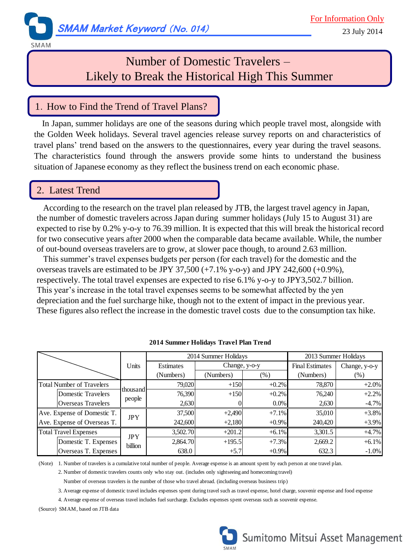

SMAM

# Number of Domestic Travelers – Likely to Break the Historical High This Summer

### 1. How to Find the Trend of Travel Plans?

In Japan, summer holidays are one of the seasons during which people travel most, alongside with the Golden Week holidays. Several travel agencies release survey reports on and characteristics of travel plans' trend based on the answers to the questionnaires, every year during the travel seasons. The characteristics found through the answers provide some hints to understand the business situation of Japanese economy as they reflect the business trend on each economic phase.

#### 2. Latest Trend

 According to the research on the travel plan released by JTB, the largest travel agency in Japan, the number of domestic travelers across Japan during summer holidays (July 15 to August 31) are expected to rise by 0.2% y-o-y to 76.39 million. It is expected that this will break the historical record for two consecutive years after 2000 when the comparable data became available. While, the number of out-bound overseas travelers are to grow, at slower pace though, to around 2.63 million.

 This summer's travel expenses budgets per person (for each travel) for the domestic and the overseas travels are estimated to be JPY 37,500  $(+7.1\%$  y-o-y) and JPY 242,600  $(+0.9\%)$ , respectively. The total travel expenses are expected to rise 6.1% y-o-y to JPY3,502.7 billion. This year's increase in the total travel expenses seems to be somewhat affected by the yen depreciation and the fuel surcharge hike, though not to the extent of impact in the previous year. These figures also reflect the increase in the domestic travel costs due to the consumption tax hike.

|                                  | Units                 | 2014 Summer Holidays |               |          | 2013 Summer Holidays   |               |
|----------------------------------|-----------------------|----------------------|---------------|----------|------------------------|---------------|
|                                  |                       | Estimates            | Change, y-o-y |          | <b>Final Estimates</b> | Change, y-o-y |
|                                  |                       | (Numbers)            | (Numbers)     | (% )     | (Numbers)              | $(\%)$        |
| <b>Total Number of Travelers</b> | thousand<br>people    | 79,020               | $+150$        | $+0.2%$  | 78,870                 | $+2.0%$       |
| Domestic Travelers               |                       | 76,390               | $+150$        | $+0.2%$  | 76.240                 | $+2.2%$       |
| Overseas Travelers               |                       | 2,630                |               | 0.0%     | 2,630                  | $-4.7%$       |
| Ave. Expense of Domestic T.      | <b>JPY</b>            | 37,500               | $+2,490$      | $+7.1%$  | 35,010                 | $+3.8%$       |
| Ave. Expense of Overseas T.      |                       | 242,600              | $+2,180$      | $+0.9\%$ | 240,420                | $+3.9%$       |
| <b>Total Travel Expenses</b>     | <b>JPY</b><br>billion | 3,502.70             | $+201.2$      | $+6.1%$  | 3,301.5                | $+4.7%$       |
| Domestic T. Expenses             |                       | 2,864.70             | $+195.5$      | $+7.3%$  | 2,669.2                | $+6.1%$       |
| Overseas T. Expenses             |                       | 638.0                | $+5.7$        | $+0.9\%$ | 632.3                  | $-1.0\%$      |

**2014 Summer Holidays Travel Plan Trend**

(Note) 1. Number of travelers is a cumulative total number of people. Average expense is an amount spent by each person at one travel plan.

2. Number of domestic travelers counts only who stay out. (includes only sightseeing and homecoming travel)

Number of overseas travelers is the number of those who travel abroad. (including overseas business trip)

3. Average expense of domestic travel includes expenses spent during travel such as travel expense, hotel charge, souvenir expense and food expense

4. Average expense of overseas travel includes fuel surcharge. Excludes expenses spent overseas such as souvenir expense.

(Source) SMAM, based on JTB data